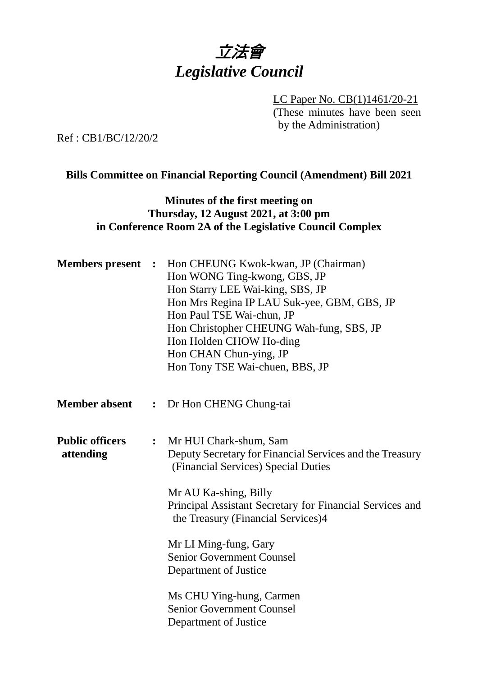

LC Paper No. CB(1)1461/20-21 (These minutes have been seen by the Administration)

Ref : CB1/BC/12/20/2

### **Bills Committee on Financial Reporting Council (Amendment) Bill 2021**

## **Minutes of the first meeting on Thursday, 12 August 2021, at 3:00 pm in Conference Room 2A of the Legislative Council Complex**

| <b>Members present :</b> | Hon CHEUNG Kwok-kwan, JP (Chairman)<br>Hon WONG Ting-kwong, GBS, JP<br>Hon Starry LEE Wai-king, SBS, JP<br>Hon Mrs Regina IP LAU Suk-yee, GBM, GBS, JP<br>Hon Paul TSE Wai-chun, JP<br>Hon Christopher CHEUNG Wah-fung, SBS, JP<br>Hon Holden CHOW Ho-ding<br>Hon CHAN Chun-ying, JP<br>Hon Tony TSE Wai-chuen, BBS, JP                                                                                    |
|--------------------------|------------------------------------------------------------------------------------------------------------------------------------------------------------------------------------------------------------------------------------------------------------------------------------------------------------------------------------------------------------------------------------------------------------|
|                          | : Dr Hon CHENG Chung-tai                                                                                                                                                                                                                                                                                                                                                                                   |
| $\ddot{\cdot}$           | Mr HUI Chark-shum, Sam<br>Deputy Secretary for Financial Services and the Treasury<br>(Financial Services) Special Duties<br>Mr AU Ka-shing, Billy<br>Principal Assistant Secretary for Financial Services and<br>the Treasury (Financial Services)4<br>Mr LI Ming-fung, Gary<br><b>Senior Government Counsel</b><br>Department of Justice<br>Ms CHU Ying-hung, Carmen<br><b>Senior Government Counsel</b> |
|                          |                                                                                                                                                                                                                                                                                                                                                                                                            |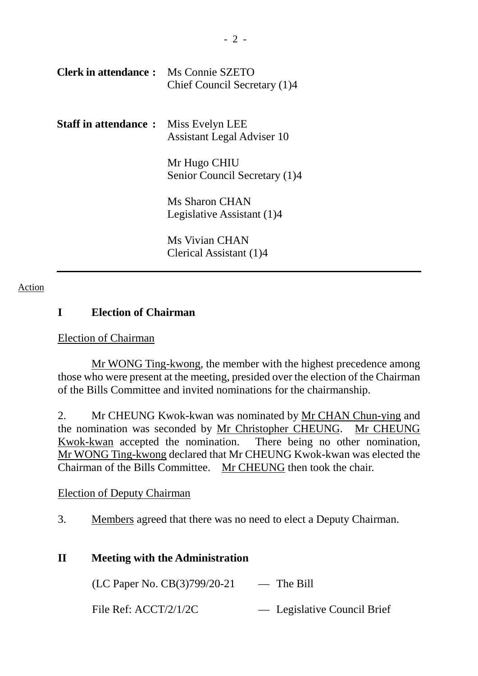| <b>Clerk in attendance:</b> Ms Connie SZETO | Chief Council Secretary (1)4                         |
|---------------------------------------------|------------------------------------------------------|
| <b>Staff in attendance:</b>                 | Miss Evelyn LEE<br><b>Assistant Legal Adviser 10</b> |
|                                             | Mr Hugo CHIU<br>Senior Council Secretary (1)4        |
|                                             | Ms Sharon CHAN<br>Legislative Assistant (1)4         |
|                                             | Ms Vivian CHAN<br>Clerical Assistant (1)4            |

#### Action

### **I Election of Chairman**

#### Election of Chairman

Mr WONG Ting-kwong, the member with the highest precedence among those who were present at the meeting, presided over the election of the Chairman of the Bills Committee and invited nominations for the chairmanship.

2. Mr CHEUNG Kwok-kwan was nominated by Mr CHAN Chun-ying and the nomination was seconded by Mr Christopher CHEUNG. Mr CHEUNG Kwok-kwan accepted the nomination. There being no other nomination, Mr WONG Ting-kwong declared that Mr CHEUNG Kwok-kwan was elected the Chairman of the Bills Committee. Mr CHEUNG then took the chair.

#### Election of Deputy Chairman

3. Members agreed that there was no need to elect a Deputy Chairman.

#### **II Meeting with the Administration**

 $(LC$  Paper No.  $CB(3)799/20-21$  — The Bill

File Ref: ACCT/2/1/2C — Legislative Council Brief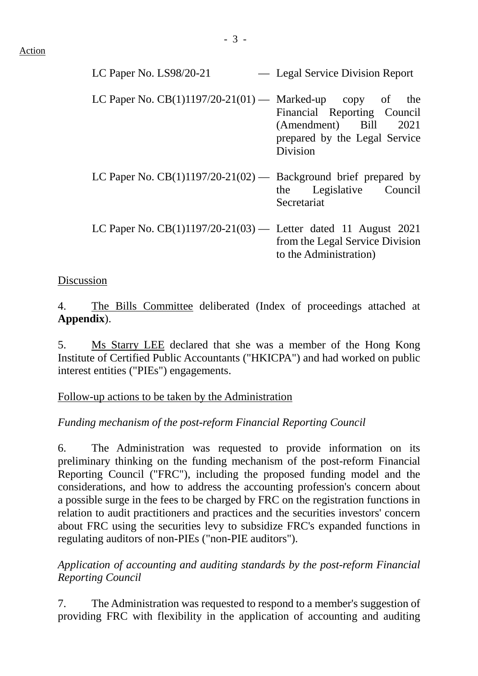LC Paper No. LS98/20-21 — Legal Service Division Report LC Paper No.  $CB(1)1197/20-21(01)$  — Marked-up copy of the Financial Reporting Council (Amendment) Bill 2021 prepared by the Legal Service Division

- LC Paper No.  $CB(1)1197/20-21(02)$  Background brief prepared by the Legislative Council **Secretariat**
- LC Paper No. CB(1)1197/20-21(03) Letter dated 11 August 2021 from the Legal Service Division to the Administration)

## Discussion

4. The Bills Committee deliberated (Index of proceedings attached at **Appendix**).

5. Ms Starry LEE declared that she was a member of the Hong Kong Institute of Certified Public Accountants ("HKICPA") and had worked on public interest entities ("PIEs") engagements.

## Follow-up actions to be taken by the Administration

## *Funding mechanism of the post-reform Financial Reporting Council*

6. The Administration was requested to provide information on its preliminary thinking on the funding mechanism of the post-reform Financial Reporting Council ("FRC"), including the proposed funding model and the considerations, and how to address the accounting profession's concern about a possible surge in the fees to be charged by FRC on the registration functions in relation to audit practitioners and practices and the securities investors' concern about FRC using the securities levy to subsidize FRC's expanded functions in regulating auditors of non-PIEs ("non-PIE auditors").

*Application of accounting and auditing standards by the post-reform Financial Reporting Council*

7. The Administration was requested to respond to a member's suggestion of providing FRC with flexibility in the application of accounting and auditing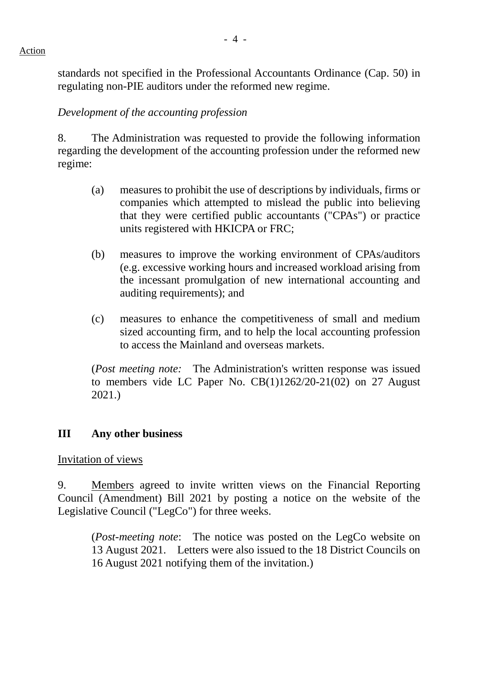standards not specified in the Professional Accountants Ordinance (Cap. 50) in regulating non-PIE auditors under the reformed new regime.

## *Development of the accounting profession*

8. The Administration was requested to provide the following information regarding the development of the accounting profession under the reformed new regime:

- (a) measures to prohibit the use of descriptions by individuals, firms or companies which attempted to mislead the public into believing that they were certified public accountants ("CPAs") or practice units registered with HKICPA or FRC;
- (b) measures to improve the working environment of CPAs/auditors (e.g. excessive working hours and increased workload arising from the incessant promulgation of new international accounting and auditing requirements); and
- (c) measures to enhance the competitiveness of small and medium sized accounting firm, and to help the local accounting profession to access the Mainland and overseas markets.

(*Post meeting note:* The Administration's written response was issued to members vide LC Paper No. CB(1)1262/20-21(02) on 27 August 2021.)

## **III Any other business**

## Invitation of views

9. Members agreed to invite written views on the Financial Reporting Council (Amendment) Bill 2021 by posting a notice on the website of the Legislative Council ("LegCo") for three weeks.

(*Post-meeting note*: The notice was posted on the LegCo website on 13 August 2021. Letters were also issued to the 18 District Councils on 16 August 2021 notifying them of the invitation.)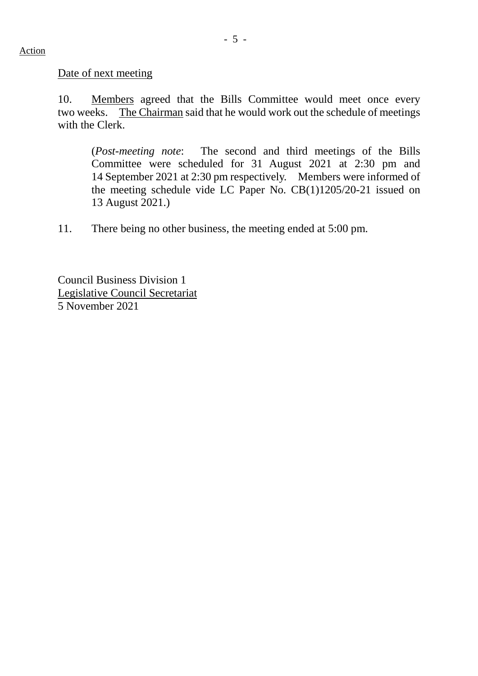Date of next meeting

10. Members agreed that the Bills Committee would meet once every two weeks. The Chairman said that he would work out the schedule of meetings with the Clerk.

(*Post-meeting note*: The second and third meetings of the Bills Committee were scheduled for 31 August 2021 at 2:30 pm and 14 September 2021 at 2:30 pm respectively. Members were informed of the meeting schedule vide LC Paper No. CB(1)1205/20-21 issued on 13 August 2021.)

11. There being no other business, the meeting ended at 5:00 pm.

Council Business Division 1 Legislative Council Secretariat 5 November 2021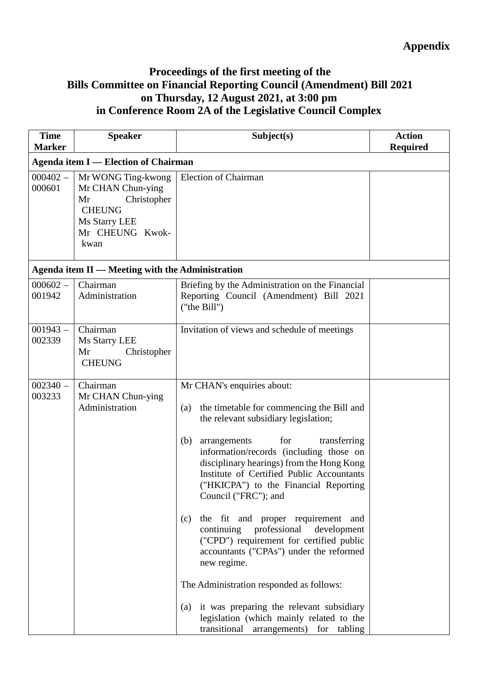# **Appendix**

## **Proceedings of the first meeting of the Bills Committee on Financial Reporting Council (Amendment) Bill 2021 on Thursday, 12 August 2021, at 3:00 pm in Conference Room 2A of the Legislative Council Complex**

| <b>Time</b><br><b>Marker</b> | <b>Speaker</b>                                                                                                            | Subject(s)                                                                                                                                                                                                                                                                                                                                                                                                                                                                                                                                                                                                                                                                                                                                                         | <b>Action</b><br><b>Required</b> |
|------------------------------|---------------------------------------------------------------------------------------------------------------------------|--------------------------------------------------------------------------------------------------------------------------------------------------------------------------------------------------------------------------------------------------------------------------------------------------------------------------------------------------------------------------------------------------------------------------------------------------------------------------------------------------------------------------------------------------------------------------------------------------------------------------------------------------------------------------------------------------------------------------------------------------------------------|----------------------------------|
|                              | <b>Agenda item I — Election of Chairman</b>                                                                               |                                                                                                                                                                                                                                                                                                                                                                                                                                                                                                                                                                                                                                                                                                                                                                    |                                  |
| $000402 -$<br>000601         | Mr WONG Ting-kwong<br>Mr CHAN Chun-ying<br>Christopher<br>Mr<br><b>CHEUNG</b><br>Ms Starry LEE<br>Mr CHEUNG Kwok-<br>kwan | <b>Election of Chairman</b>                                                                                                                                                                                                                                                                                                                                                                                                                                                                                                                                                                                                                                                                                                                                        |                                  |
|                              | Agenda item II — Meeting with the Administration                                                                          |                                                                                                                                                                                                                                                                                                                                                                                                                                                                                                                                                                                                                                                                                                                                                                    |                                  |
| $000602 -$<br>001942         | Chairman<br>Administration                                                                                                | Briefing by the Administration on the Financial<br>Reporting Council (Amendment) Bill 2021<br>("the Bill")                                                                                                                                                                                                                                                                                                                                                                                                                                                                                                                                                                                                                                                         |                                  |
| $001943 -$<br>002339         | Chairman<br>Ms Starry LEE<br>Mr<br>Christopher<br><b>CHEUNG</b>                                                           | Invitation of views and schedule of meetings                                                                                                                                                                                                                                                                                                                                                                                                                                                                                                                                                                                                                                                                                                                       |                                  |
| $002340 -$<br>003233         | Chairman<br>Mr CHAN Chun-ying<br>Administration                                                                           | Mr CHAN's enquiries about:<br>the timetable for commencing the Bill and<br>(a)<br>the relevant subsidiary legislation;<br>for<br>(b)<br>transferring<br>arrangements<br>information/records (including those on<br>disciplinary hearings) from the Hong Kong<br>Institute of Certified Public Accountants<br>("HKICPA") to the Financial Reporting<br>Council ("FRC"); and<br>the fit and proper requirement and<br>(c)<br>professional<br>continuing<br>development<br>("CPD") requirement for certified public<br>accountants ("CPAs") under the reformed<br>new regime.<br>The Administration responded as follows:<br>it was preparing the relevant subsidiary<br>(a)<br>legislation (which mainly related to the<br>transitional<br>arrangements) for tabling |                                  |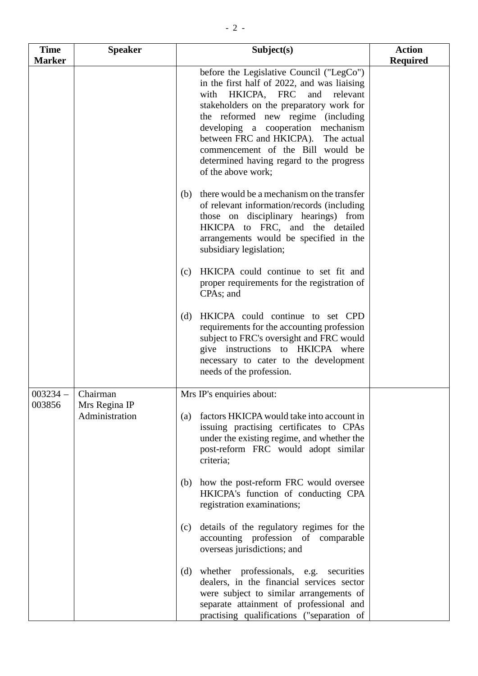| <b>Time</b>   | <b>Speaker</b>                  | Subject(s)                                                                                                                                                                                                                                                                                                                                                                                              | <b>Action</b>   |
|---------------|---------------------------------|---------------------------------------------------------------------------------------------------------------------------------------------------------------------------------------------------------------------------------------------------------------------------------------------------------------------------------------------------------------------------------------------------------|-----------------|
| <b>Marker</b> |                                 |                                                                                                                                                                                                                                                                                                                                                                                                         | <b>Required</b> |
|               |                                 | before the Legislative Council ("LegCo")<br>in the first half of 2022, and was liaising<br>HKICPA, FRC<br>relevant<br>with<br>and<br>stakeholders on the preparatory work for<br>the reformed new regime (including<br>developing a cooperation mechanism<br>between FRC and HKICPA). The actual<br>commencement of the Bill would be<br>determined having regard to the progress<br>of the above work; |                 |
|               |                                 | there would be a mechanism on the transfer<br>(b)<br>of relevant information/records (including<br>those on disciplinary hearings) from<br>HKICPA to FRC, and the detailed<br>arrangements would be specified in the<br>subsidiary legislation;                                                                                                                                                         |                 |
|               |                                 | HKICPA could continue to set fit and<br>(c)<br>proper requirements for the registration of<br>CPAs; and                                                                                                                                                                                                                                                                                                 |                 |
|               |                                 | HKICPA could continue to set CPD<br>(d)<br>requirements for the accounting profession<br>subject to FRC's oversight and FRC would<br>give instructions to HKICPA where<br>necessary to cater to the development<br>needs of the profession.                                                                                                                                                             |                 |
| $003234 -$    | Chairman                        | Mrs IP's enquiries about:                                                                                                                                                                                                                                                                                                                                                                               |                 |
| 003856        | Mrs Regina IP<br>Administration | factors HKICPA would take into account in<br>(a)<br>issuing practising certificates to CPAs<br>under the existing regime, and whether the<br>post-reform FRC would adopt similar<br>criteria;                                                                                                                                                                                                           |                 |
|               |                                 | how the post-reform FRC would oversee<br>(b)<br>HKICPA's function of conducting CPA<br>registration examinations;                                                                                                                                                                                                                                                                                       |                 |
|               |                                 | details of the regulatory regimes for the<br>(c)<br>accounting profession of comparable<br>overseas jurisdictions; and                                                                                                                                                                                                                                                                                  |                 |
|               |                                 | whether professionals, e.g. securities<br>(d)<br>dealers, in the financial services sector<br>were subject to similar arrangements of<br>separate attainment of professional and<br>practising qualifications ("separation of                                                                                                                                                                           |                 |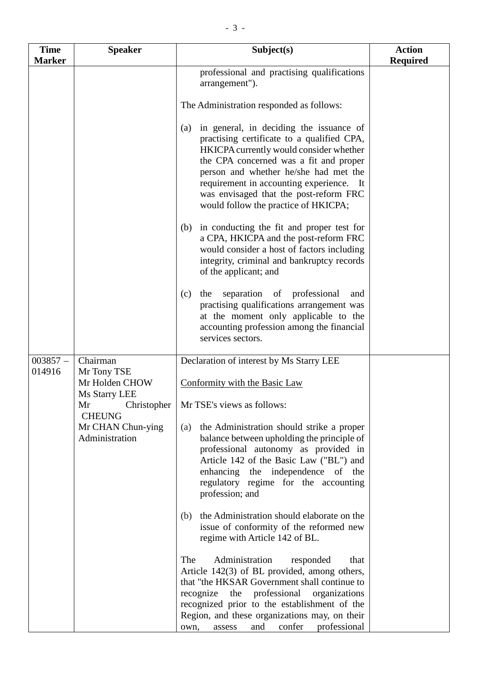| <b>Time</b>          | <b>Speaker</b>                      | Subject(s)                                                                                                                                                                                                                                                                                                                                               | <b>Action</b>   |
|----------------------|-------------------------------------|----------------------------------------------------------------------------------------------------------------------------------------------------------------------------------------------------------------------------------------------------------------------------------------------------------------------------------------------------------|-----------------|
| <b>Marker</b>        |                                     |                                                                                                                                                                                                                                                                                                                                                          | <b>Required</b> |
|                      |                                     | professional and practising qualifications<br>arrangement").                                                                                                                                                                                                                                                                                             |                 |
|                      |                                     | The Administration responded as follows:                                                                                                                                                                                                                                                                                                                 |                 |
|                      |                                     | in general, in deciding the issuance of<br>(a)<br>practising certificate to a qualified CPA,<br>HKICPA currently would consider whether<br>the CPA concerned was a fit and proper<br>person and whether he/she had met the<br>requirement in accounting experience. It<br>was envisaged that the post-reform FRC<br>would follow the practice of HKICPA; |                 |
|                      |                                     | (b) in conducting the fit and proper test for<br>a CPA, HKICPA and the post-reform FRC<br>would consider a host of factors including<br>integrity, criminal and bankruptcy records<br>of the applicant; and                                                                                                                                              |                 |
|                      |                                     | separation of professional<br>(c)<br>the<br>and<br>practising qualifications arrangement was<br>at the moment only applicable to the<br>accounting profession among the financial<br>services sectors.                                                                                                                                                   |                 |
| $003857 -$<br>014916 | Chairman<br>Mr Tony TSE             | Declaration of interest by Ms Starry LEE                                                                                                                                                                                                                                                                                                                 |                 |
|                      | Mr Holden CHOW<br>Ms Starry LEE     | Conformity with the Basic Law                                                                                                                                                                                                                                                                                                                            |                 |
|                      | Mr Christopher<br><b>CHEUNG</b>     | Mr TSE's views as follows:                                                                                                                                                                                                                                                                                                                               |                 |
|                      | Mr CHAN Chun-ying<br>Administration | the Administration should strike a proper<br>(a)<br>balance between upholding the principle of<br>professional autonomy as provided in<br>Article 142 of the Basic Law ("BL") and<br>enhancing the independence of the<br>regulatory regime for the accounting<br>profession; and                                                                        |                 |
|                      |                                     | the Administration should elaborate on the<br>(b)<br>issue of conformity of the reformed new<br>regime with Article 142 of BL.                                                                                                                                                                                                                           |                 |
|                      |                                     | The<br>Administration<br>responded<br>that<br>Article 142(3) of BL provided, among others,<br>that "the HKSAR Government shall continue to<br>the professional organizations<br>recognize<br>recognized prior to the establishment of the<br>Region, and these organizations may, on their<br>confer<br>professional<br>and<br>own,<br>assess            |                 |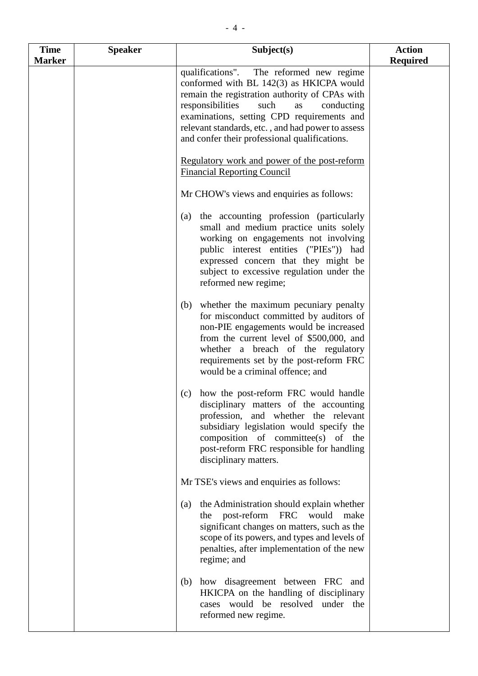| <b>Time</b><br><b>Marker</b> | <b>Speaker</b> | Subject(s)                                                                                                                                                                                                                                                                                                                                 | <b>Action</b><br><b>Required</b> |
|------------------------------|----------------|--------------------------------------------------------------------------------------------------------------------------------------------------------------------------------------------------------------------------------------------------------------------------------------------------------------------------------------------|----------------------------------|
|                              |                | qualifications". The reformed new regime<br>conformed with BL 142(3) as HKICPA would<br>remain the registration authority of CPAs with<br>responsibilities<br>such<br>as<br>conducting<br>examinations, setting CPD requirements and<br>relevant standards, etc., and had power to assess<br>and confer their professional qualifications. |                                  |
|                              |                | Regulatory work and power of the post-reform<br><b>Financial Reporting Council</b>                                                                                                                                                                                                                                                         |                                  |
|                              |                | Mr CHOW's views and enquiries as follows:                                                                                                                                                                                                                                                                                                  |                                  |
|                              |                | the accounting profession (particularly<br>(a)<br>small and medium practice units solely<br>working on engagements not involving<br>public interest entities ("PIEs")) had<br>expressed concern that they might be<br>subject to excessive regulation under the<br>reformed new regime;                                                    |                                  |
|                              |                | whether the maximum pecuniary penalty<br>(b)<br>for misconduct committed by auditors of<br>non-PIE engagements would be increased<br>from the current level of \$500,000, and<br>whether a breach of the regulatory<br>requirements set by the post-reform FRC<br>would be a criminal offence; and                                         |                                  |
|                              |                | how the post-reform FRC would handle<br>(c)<br>disciplinary matters of the accounting<br>profession, and whether the relevant<br>subsidiary legislation would specify the<br>composition of committee(s) of the<br>post-reform FRC responsible for handling<br>disciplinary matters.                                                       |                                  |
|                              |                | Mr TSE's views and enquiries as follows:                                                                                                                                                                                                                                                                                                   |                                  |
|                              |                | the Administration should explain whether<br>$\left( a\right)$<br>the post-reform FRC would<br>make<br>significant changes on matters, such as the<br>scope of its powers, and types and levels of<br>penalties, after implementation of the new<br>regime; and                                                                            |                                  |
|                              |                | how disagreement between FRC and<br>(b)<br>HKICPA on the handling of disciplinary<br>cases would be resolved under the<br>reformed new regime.                                                                                                                                                                                             |                                  |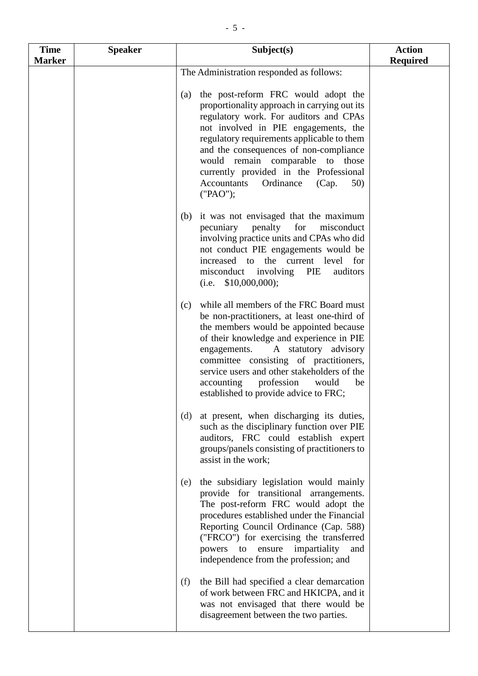| <b>Time</b>   | <b>Speaker</b> | Subject(s)                                                                                                                                                                                                                                                                                                                                                                                                           | <b>Action</b>   |
|---------------|----------------|----------------------------------------------------------------------------------------------------------------------------------------------------------------------------------------------------------------------------------------------------------------------------------------------------------------------------------------------------------------------------------------------------------------------|-----------------|
| <b>Marker</b> |                | The Administration responded as follows:                                                                                                                                                                                                                                                                                                                                                                             | <b>Required</b> |
|               |                | the post-reform FRC would adopt the<br>(a)<br>proportionality approach in carrying out its<br>regulatory work. For auditors and CPAs<br>not involved in PIE engagements, the<br>regulatory requirements applicable to them<br>and the consequences of non-compliance<br>would remain comparable to<br>those<br>currently provided in the Professional<br><b>Accountants</b><br>Ordinance<br>(Cap.<br>50)<br>("PAO"); |                 |
|               |                | it was not envisaged that the maximum<br>(b)<br>for<br>pecuniary<br>penalty<br>misconduct<br>involving practice units and CPAs who did<br>not conduct PIE engagements would be<br>increased to the current level for<br>misconduct involving PIE<br>auditors<br>$(i.e. \$10,000,000);$                                                                                                                               |                 |
|               |                | while all members of the FRC Board must<br>(c)<br>be non-practitioners, at least one-third of<br>the members would be appointed because<br>of their knowledge and experience in PIE<br>A statutory advisory<br>engagements.<br>committee consisting of practitioners,<br>service users and other stakeholders of the<br>accounting<br>profession<br>would<br>be<br>established to provide advice to FRC;             |                 |
|               |                | at present, when discharging its duties,<br>(d)<br>such as the disciplinary function over PIE<br>auditors, FRC could establish expert<br>groups/panels consisting of practitioners to<br>assist in the work;                                                                                                                                                                                                         |                 |
|               |                | the subsidiary legislation would mainly<br>(e)<br>provide for transitional arrangements.<br>The post-reform FRC would adopt the<br>procedures established under the Financial<br>Reporting Council Ordinance (Cap. 588)<br>("FRCO") for exercising the transferred<br>ensure impartiality<br>powers to<br>and<br>independence from the profession; and                                                               |                 |
|               |                | the Bill had specified a clear demarcation<br>(f)<br>of work between FRC and HKICPA, and it<br>was not envisaged that there would be<br>disagreement between the two parties.                                                                                                                                                                                                                                        |                 |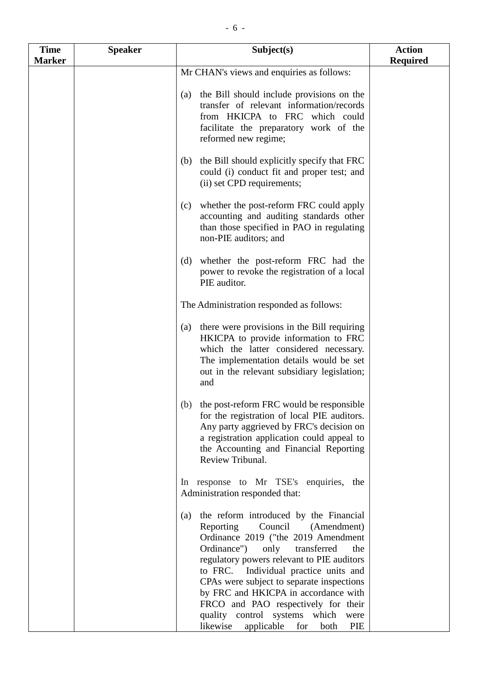| <b>Time</b><br><b>Marker</b> | <b>Speaker</b> | Subject(s)                                                                                                                                                                                                                                                                                                                                                                                                                                                                     | <b>Action</b><br><b>Required</b> |
|------------------------------|----------------|--------------------------------------------------------------------------------------------------------------------------------------------------------------------------------------------------------------------------------------------------------------------------------------------------------------------------------------------------------------------------------------------------------------------------------------------------------------------------------|----------------------------------|
|                              |                | Mr CHAN's views and enquiries as follows:                                                                                                                                                                                                                                                                                                                                                                                                                                      |                                  |
|                              |                | the Bill should include provisions on the<br>(a)<br>transfer of relevant information/records<br>from HKICPA to FRC which could<br>facilitate the preparatory work of the<br>reformed new regime;                                                                                                                                                                                                                                                                               |                                  |
|                              |                | the Bill should explicitly specify that FRC<br>(b)<br>could (i) conduct fit and proper test; and<br>(ii) set CPD requirements;                                                                                                                                                                                                                                                                                                                                                 |                                  |
|                              |                | whether the post-reform FRC could apply<br>(c)<br>accounting and auditing standards other<br>than those specified in PAO in regulating<br>non-PIE auditors; and                                                                                                                                                                                                                                                                                                                |                                  |
|                              |                | whether the post-reform FRC had the<br>(d)<br>power to revoke the registration of a local<br>PIE auditor.                                                                                                                                                                                                                                                                                                                                                                      |                                  |
|                              |                | The Administration responded as follows:                                                                                                                                                                                                                                                                                                                                                                                                                                       |                                  |
|                              |                | there were provisions in the Bill requiring<br>(a)<br>HKICPA to provide information to FRC<br>which the latter considered necessary.<br>The implementation details would be set<br>out in the relevant subsidiary legislation;<br>and                                                                                                                                                                                                                                          |                                  |
|                              |                | (b) the post-reform FRC would be responsible<br>for the registration of local PIE auditors.<br>Any party aggrieved by FRC's decision on<br>a registration application could appeal to<br>the Accounting and Financial Reporting<br>Review Tribunal.                                                                                                                                                                                                                            |                                  |
|                              |                | In response to Mr TSE's enquiries, the<br>Administration responded that:                                                                                                                                                                                                                                                                                                                                                                                                       |                                  |
|                              |                | the reform introduced by the Financial<br>(a)<br>Reporting<br>Council (Amendment)<br>Ordinance 2019 ("the 2019 Amendment<br>Ordinance")<br>only<br>transferred<br>the<br>regulatory powers relevant to PIE auditors<br>to FRC.<br>Individual practice units and<br>CPAs were subject to separate inspections<br>by FRC and HKICPA in accordance with<br>FRCO and PAO respectively for their<br>quality control systems which were<br>likewise<br>applicable for<br>both<br>PIE |                                  |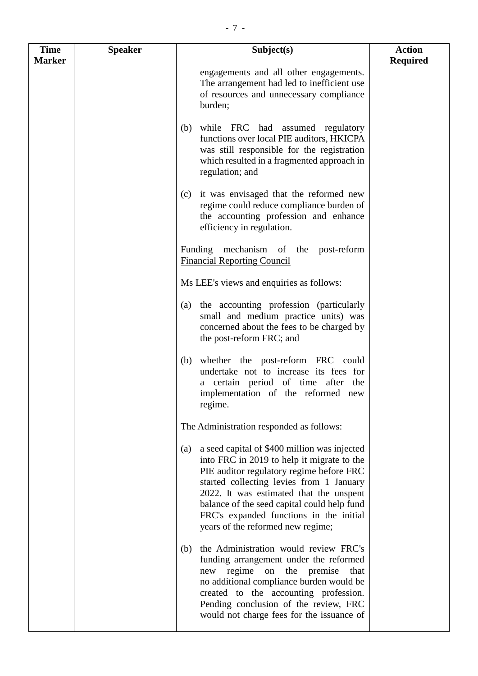| <b>Time</b>   | <b>Speaker</b> | Subject(s)                                                                                                                                                                                                                                                                                                                                                          | <b>Action</b>   |
|---------------|----------------|---------------------------------------------------------------------------------------------------------------------------------------------------------------------------------------------------------------------------------------------------------------------------------------------------------------------------------------------------------------------|-----------------|
| <b>Marker</b> |                |                                                                                                                                                                                                                                                                                                                                                                     | <b>Required</b> |
|               |                | engagements and all other engagements.<br>The arrangement had led to inefficient use<br>of resources and unnecessary compliance<br>burden;                                                                                                                                                                                                                          |                 |
|               |                | while FRC had assumed regulatory<br>(b)<br>functions over local PIE auditors, HKICPA<br>was still responsible for the registration<br>which resulted in a fragmented approach in<br>regulation; and                                                                                                                                                                 |                 |
|               |                | it was envisaged that the reformed new<br>(c)<br>regime could reduce compliance burden of<br>the accounting profession and enhance<br>efficiency in regulation.                                                                                                                                                                                                     |                 |
|               |                | Funding mechanism of the<br>post-reform<br><b>Financial Reporting Council</b>                                                                                                                                                                                                                                                                                       |                 |
|               |                | Ms LEE's views and enquiries as follows:                                                                                                                                                                                                                                                                                                                            |                 |
|               |                | the accounting profession (particularly<br>(a)<br>small and medium practice units) was<br>concerned about the fees to be charged by<br>the post-reform FRC; and                                                                                                                                                                                                     |                 |
|               |                | whether the post-reform FRC could<br>(b)<br>undertake not to increase its fees for<br>a certain period of time after the<br>implementation of the reformed new<br>regime.                                                                                                                                                                                           |                 |
|               |                | The Administration responded as follows:                                                                                                                                                                                                                                                                                                                            |                 |
|               |                | a seed capital of \$400 million was injected<br>(a)<br>into FRC in 2019 to help it migrate to the<br>PIE auditor regulatory regime before FRC<br>started collecting levies from 1 January<br>2022. It was estimated that the unspent<br>balance of the seed capital could help fund<br>FRC's expanded functions in the initial<br>years of the reformed new regime; |                 |
|               |                | the Administration would review FRC's<br>(b)<br>funding arrangement under the reformed<br>new regime<br>the premise<br>on<br>that<br>no additional compliance burden would be<br>created to the accounting profession.<br>Pending conclusion of the review, FRC<br>would not charge fees for the issuance of                                                        |                 |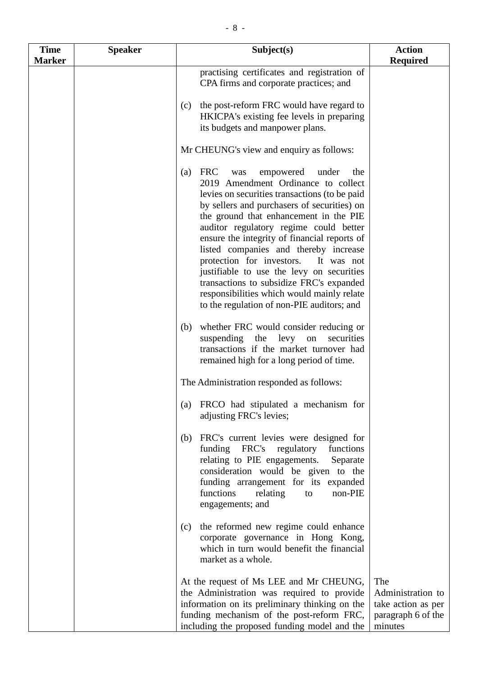| <b>Time</b><br><b>Marker</b> | <b>Speaker</b> | Subject(s)                                                                                                                                                                                                                                                                                                                                                                                                                                                                                                                                                                                                | <b>Action</b><br>Required                                                       |
|------------------------------|----------------|-----------------------------------------------------------------------------------------------------------------------------------------------------------------------------------------------------------------------------------------------------------------------------------------------------------------------------------------------------------------------------------------------------------------------------------------------------------------------------------------------------------------------------------------------------------------------------------------------------------|---------------------------------------------------------------------------------|
|                              |                | practising certificates and registration of<br>CPA firms and corporate practices; and                                                                                                                                                                                                                                                                                                                                                                                                                                                                                                                     |                                                                                 |
|                              |                | the post-reform FRC would have regard to<br>(c)<br>HKICPA's existing fee levels in preparing<br>its budgets and manpower plans.                                                                                                                                                                                                                                                                                                                                                                                                                                                                           |                                                                                 |
|                              |                | Mr CHEUNG's view and enquiry as follows:                                                                                                                                                                                                                                                                                                                                                                                                                                                                                                                                                                  |                                                                                 |
|                              |                | <b>FRC</b><br>empowered<br>under<br>(a)<br>was<br>the<br>2019 Amendment Ordinance to collect<br>levies on securities transactions (to be paid<br>by sellers and purchasers of securities) on<br>the ground that enhancement in the PIE<br>auditor regulatory regime could better<br>ensure the integrity of financial reports of<br>listed companies and thereby increase<br>protection for investors.<br>It was not<br>justifiable to use the levy on securities<br>transactions to subsidize FRC's expanded<br>responsibilities which would mainly relate<br>to the regulation of non-PIE auditors; and |                                                                                 |
|                              |                | whether FRC would consider reducing or<br>(b)<br>suspending the<br>levy<br>securities<br>on<br>transactions if the market turnover had<br>remained high for a long period of time.                                                                                                                                                                                                                                                                                                                                                                                                                        |                                                                                 |
|                              |                | The Administration responded as follows:                                                                                                                                                                                                                                                                                                                                                                                                                                                                                                                                                                  |                                                                                 |
|                              |                | FRCO had stipulated a mechanism for<br>(a)<br>adjusting FRC's levies;                                                                                                                                                                                                                                                                                                                                                                                                                                                                                                                                     |                                                                                 |
|                              |                | FRC's current levies were designed for<br>(b)<br>funding FRC's regulatory<br>functions<br>relating to PIE engagements.<br>Separate<br>consideration would be given to the<br>funding arrangement for its expanded<br>functions<br>non-PIE<br>relating<br>to<br>engagements; and                                                                                                                                                                                                                                                                                                                           |                                                                                 |
|                              |                | the reformed new regime could enhance<br>(c)<br>corporate governance in Hong Kong,<br>which in turn would benefit the financial<br>market as a whole.                                                                                                                                                                                                                                                                                                                                                                                                                                                     |                                                                                 |
|                              |                | At the request of Ms LEE and Mr CHEUNG,<br>the Administration was required to provide<br>information on its preliminary thinking on the<br>funding mechanism of the post-reform FRC,<br>including the proposed funding model and the                                                                                                                                                                                                                                                                                                                                                                      | The<br>Administration to<br>take action as per<br>paragraph 6 of the<br>minutes |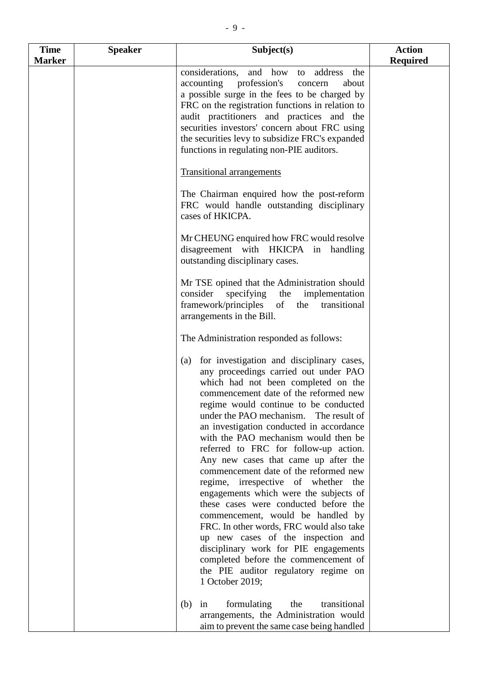| <b>Time</b>   | <b>Speaker</b> | Subject(s)                                                                                                                                                                                                                                                                                                                                                                                                                                                                                                                                                                                                                                                                                                                                                                                                                                                              | <b>Action</b>   |
|---------------|----------------|-------------------------------------------------------------------------------------------------------------------------------------------------------------------------------------------------------------------------------------------------------------------------------------------------------------------------------------------------------------------------------------------------------------------------------------------------------------------------------------------------------------------------------------------------------------------------------------------------------------------------------------------------------------------------------------------------------------------------------------------------------------------------------------------------------------------------------------------------------------------------|-----------------|
| <b>Marker</b> |                | considerations,<br>and how to address<br>the<br>accounting profession's<br>concern<br>about<br>a possible surge in the fees to be charged by<br>FRC on the registration functions in relation to<br>audit practitioners and practices and the<br>securities investors' concern about FRC using<br>the securities levy to subsidize FRC's expanded<br>functions in regulating non-PIE auditors.                                                                                                                                                                                                                                                                                                                                                                                                                                                                          | <b>Required</b> |
|               |                | <b>Transitional arrangements</b><br>The Chairman enquired how the post-reform                                                                                                                                                                                                                                                                                                                                                                                                                                                                                                                                                                                                                                                                                                                                                                                           |                 |
|               |                | FRC would handle outstanding disciplinary<br>cases of HKICPA.                                                                                                                                                                                                                                                                                                                                                                                                                                                                                                                                                                                                                                                                                                                                                                                                           |                 |
|               |                | Mr CHEUNG enquired how FRC would resolve<br>disagreement with HKICPA in handling<br>outstanding disciplinary cases.                                                                                                                                                                                                                                                                                                                                                                                                                                                                                                                                                                                                                                                                                                                                                     |                 |
|               |                | Mr TSE opined that the Administration should<br>consider<br>specifying<br>the<br>implementation<br>framework/principles<br>of<br>the<br>transitional<br>arrangements in the Bill.                                                                                                                                                                                                                                                                                                                                                                                                                                                                                                                                                                                                                                                                                       |                 |
|               |                | The Administration responded as follows:                                                                                                                                                                                                                                                                                                                                                                                                                                                                                                                                                                                                                                                                                                                                                                                                                                |                 |
|               |                | for investigation and disciplinary cases,<br>(a)<br>any proceedings carried out under PAO<br>which had not been completed on the<br>commencement date of the reformed new<br>regime would continue to be conducted<br>under the PAO mechanism. The result of<br>an investigation conducted in accordance<br>with the PAO mechanism would then be<br>referred to FRC for follow-up action.<br>Any new cases that came up after the<br>commencement date of the reformed new<br>regime, irrespective of whether the<br>engagements which were the subjects of<br>these cases were conducted before the<br>commencement, would be handled by<br>FRC. In other words, FRC would also take<br>up new cases of the inspection and<br>disciplinary work for PIE engagements<br>completed before the commencement of<br>the PIE auditor regulatory regime on<br>1 October 2019; |                 |
|               |                | formulating<br>(b)<br>the<br>transitional<br>in<br>arrangements, the Administration would<br>aim to prevent the same case being handled                                                                                                                                                                                                                                                                                                                                                                                                                                                                                                                                                                                                                                                                                                                                 |                 |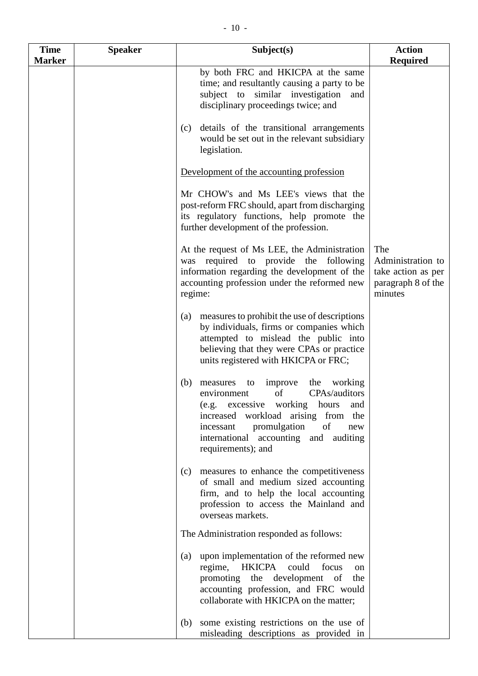| <b>Time</b>   | <b>Speaker</b> | Subject(s)                                                                                                                                                                                                                                                                          | <b>Action</b>                                                                   |
|---------------|----------------|-------------------------------------------------------------------------------------------------------------------------------------------------------------------------------------------------------------------------------------------------------------------------------------|---------------------------------------------------------------------------------|
| <b>Marker</b> |                |                                                                                                                                                                                                                                                                                     | <b>Required</b>                                                                 |
|               |                | by both FRC and HKICPA at the same<br>time; and resultantly causing a party to be<br>subject to similar investigation<br>and<br>disciplinary proceedings twice; and                                                                                                                 |                                                                                 |
|               |                | details of the transitional arrangements<br>(c)<br>would be set out in the relevant subsidiary<br>legislation.                                                                                                                                                                      |                                                                                 |
|               |                | Development of the accounting profession                                                                                                                                                                                                                                            |                                                                                 |
|               |                | Mr CHOW's and Ms LEE's views that the<br>post-reform FRC should, apart from discharging<br>its regulatory functions, help promote the<br>further development of the profession.                                                                                                     |                                                                                 |
|               |                | At the request of Ms LEE, the Administration<br>was required to provide the<br>following<br>information regarding the development of the<br>accounting profession under the reformed new<br>regime:                                                                                 | The<br>Administration to<br>take action as per<br>paragraph 8 of the<br>minutes |
|               |                | measures to prohibit the use of descriptions<br>(a)<br>by individuals, firms or companies which<br>attempted to mislead the public into<br>believing that they were CPAs or practice<br>units registered with HKICPA or FRC;                                                        |                                                                                 |
|               |                | improve<br>the<br>working<br>(b)<br>measures<br>to<br>of<br>CPAs/auditors<br>environment<br>(e.g. excessive working<br>hours<br>and<br>increased workload arising from the<br>of<br>promulgation<br>incessant<br>new<br>international accounting and auditing<br>requirements); and |                                                                                 |
|               |                | measures to enhance the competitiveness<br>(c)<br>of small and medium sized accounting<br>firm, and to help the local accounting<br>profession to access the Mainland and<br>overseas markets.                                                                                      |                                                                                 |
|               |                | The Administration responded as follows:                                                                                                                                                                                                                                            |                                                                                 |
|               |                | upon implementation of the reformed new<br>(a)<br>regime,<br><b>HKICPA</b><br>could<br>focus<br><sub>on</sub><br>promoting the development of<br>the<br>accounting profession, and FRC would<br>collaborate with HKICPA on the matter;                                              |                                                                                 |
|               |                | some existing restrictions on the use of<br>(b)<br>misleading descriptions as provided in                                                                                                                                                                                           |                                                                                 |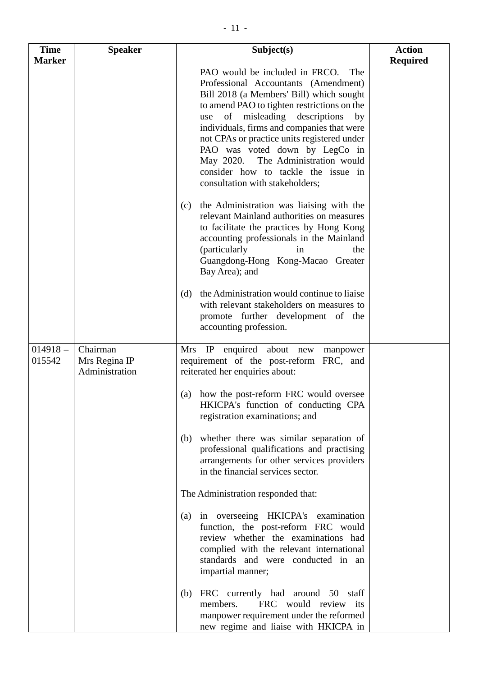| <b>Time</b><br><b>Marker</b> | <b>Speaker</b>                              | Subject(s)                                                                                                                                                                                                                                                                                                                                                                                                                                                                                                                                                                                                                                                                                                                                                    | <b>Action</b><br><b>Required</b> |
|------------------------------|---------------------------------------------|---------------------------------------------------------------------------------------------------------------------------------------------------------------------------------------------------------------------------------------------------------------------------------------------------------------------------------------------------------------------------------------------------------------------------------------------------------------------------------------------------------------------------------------------------------------------------------------------------------------------------------------------------------------------------------------------------------------------------------------------------------------|----------------------------------|
|                              |                                             | PAO would be included in FRCO.<br>The<br>Professional Accountants (Amendment)<br>Bill 2018 (a Members' Bill) which sought<br>to amend PAO to tighten restrictions on the<br>of misleading descriptions<br>use<br>by<br>individuals, firms and companies that were<br>not CPAs or practice units registered under<br>PAO was voted down by LegCo in<br>The Administration would<br>May 2020.<br>consider how to tackle the issue in<br>consultation with stakeholders;<br>the Administration was liaising with the<br>(c)<br>relevant Mainland authorities on measures<br>to facilitate the practices by Hong Kong<br>accounting professionals in the Mainland<br>(particularly<br>the<br><sub>in</sub><br>Guangdong-Hong Kong-Macao Greater<br>Bay Area); and |                                  |
|                              |                                             | the Administration would continue to liaise<br>(d)<br>with relevant stakeholders on measures to<br>promote further development of the<br>accounting profession.                                                                                                                                                                                                                                                                                                                                                                                                                                                                                                                                                                                               |                                  |
| $014918 -$<br>015542         | Chairman<br>Mrs Regina IP<br>Administration | enquired about new<br>Mrs IP<br>manpower<br>requirement of the post-reform FRC, and<br>reiterated her enquiries about:                                                                                                                                                                                                                                                                                                                                                                                                                                                                                                                                                                                                                                        |                                  |
|                              |                                             | how the post-reform FRC would oversee<br>(a)<br>HKICPA's function of conducting CPA<br>registration examinations; and                                                                                                                                                                                                                                                                                                                                                                                                                                                                                                                                                                                                                                         |                                  |
|                              |                                             | whether there was similar separation of<br>(b)<br>professional qualifications and practising<br>arrangements for other services providers<br>in the financial services sector.                                                                                                                                                                                                                                                                                                                                                                                                                                                                                                                                                                                |                                  |
|                              |                                             | The Administration responded that:                                                                                                                                                                                                                                                                                                                                                                                                                                                                                                                                                                                                                                                                                                                            |                                  |
|                              |                                             | in overseeing HKICPA's examination<br>(a)<br>function, the post-reform FRC would<br>review whether the examinations had<br>complied with the relevant international<br>standards and were conducted in an<br>impartial manner;                                                                                                                                                                                                                                                                                                                                                                                                                                                                                                                                |                                  |
|                              |                                             | FRC currently had around 50 staff<br>(b)<br>FRC would review its<br>members.<br>manpower requirement under the reformed<br>new regime and liaise with HKICPA in                                                                                                                                                                                                                                                                                                                                                                                                                                                                                                                                                                                               |                                  |